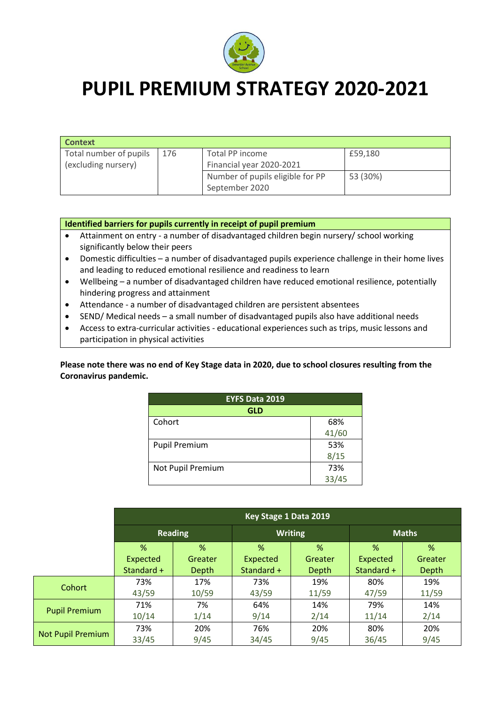

## **PUPIL PREMIUM STRATEGY 2020-2021**

| <b>Context</b>         |     |                                  |          |  |  |
|------------------------|-----|----------------------------------|----------|--|--|
| Total number of pupils | 176 | Total PP income                  | £59,180  |  |  |
| (excluding nursery)    |     | Financial year 2020-2021         |          |  |  |
|                        |     | Number of pupils eligible for PP | 53 (30%) |  |  |
|                        |     | September 2020                   |          |  |  |

## **Identified barriers for pupils currently in receipt of pupil premium**

- Attainment on entry a number of disadvantaged children begin nursery/ school working significantly below their peers
- Domestic difficulties a number of disadvantaged pupils experience challenge in their home lives and leading to reduced emotional resilience and readiness to learn
- Wellbeing a number of disadvantaged children have reduced emotional resilience, potentially hindering progress and attainment
- Attendance a number of disadvantaged children are persistent absentees
- SEND/ Medical needs a small number of disadvantaged pupils also have additional needs
- Access to extra-curricular activities educational experiences such as trips, music lessons and participation in physical activities

**Please note there was no end of Key Stage data in 2020, due to school closures resulting from the Coronavirus pandemic.**

| <b>EYFS Data 2019</b> |       |  |  |  |
|-----------------------|-------|--|--|--|
| GLD                   |       |  |  |  |
| Cohort                | 68%   |  |  |  |
|                       | 41/60 |  |  |  |
| <b>Pupil Premium</b>  | 53%   |  |  |  |
|                       | 8/15  |  |  |  |
| Not Pupil Premium     | 73%   |  |  |  |
|                       | 33/45 |  |  |  |

|                          | Key Stage 1 Data 2019 |         |                |         |              |         |
|--------------------------|-----------------------|---------|----------------|---------|--------------|---------|
|                          | <b>Reading</b>        |         | <b>Writing</b> |         | <b>Maths</b> |         |
|                          | %                     | %       | $\%$           | %       | $\%$         | %       |
|                          | Expected              | Greater | Expected       | Greater | Expected     | Greater |
|                          | Standard +            | Depth   | Standard +     | Depth   | Standard +   | Depth   |
| Cohort                   | 73%                   | 17%     | 73%            | 19%     | 80%          | 19%     |
|                          | 43/59                 | 10/59   | 43/59          | 11/59   | 47/59        | 11/59   |
| <b>Pupil Premium</b>     | 71%                   | 7%      | 64%            | 14%     | 79%          | 14%     |
|                          | 10/14                 | 1/14    | 9/14           | 2/14    | 11/14        | 2/14    |
| <b>Not Pupil Premium</b> | 73%                   | 20%     | 76%            | 20%     | 80%          | 20%     |
|                          | 33/45                 | 9/45    | 34/45          | 9/45    | 36/45        | 9/45    |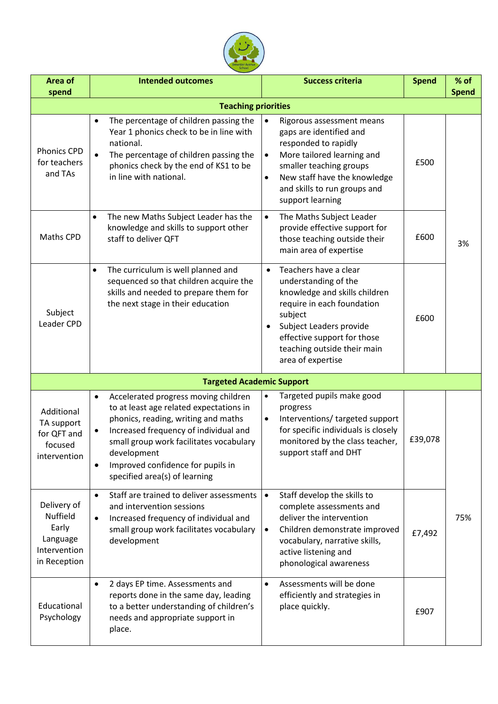

| Area of<br>spend                                                                    | <b>Intended outcomes</b>                                                                                                                                                                                                                                                                                                  | <b>Success criteria</b>                                                                                                                                                                                                                                          | <b>Spend</b> | % of<br><b>Spend</b> |  |
|-------------------------------------------------------------------------------------|---------------------------------------------------------------------------------------------------------------------------------------------------------------------------------------------------------------------------------------------------------------------------------------------------------------------------|------------------------------------------------------------------------------------------------------------------------------------------------------------------------------------------------------------------------------------------------------------------|--------------|----------------------|--|
| <b>Teaching priorities</b>                                                          |                                                                                                                                                                                                                                                                                                                           |                                                                                                                                                                                                                                                                  |              |                      |  |
| <b>Phonics CPD</b><br>for teachers<br>and TAs                                       | The percentage of children passing the<br>$\bullet$<br>Year 1 phonics check to be in line with<br>national.<br>The percentage of children passing the<br>$\bullet$<br>phonics check by the end of KS1 to be<br>in line with national.                                                                                     | Rigorous assessment means<br>$\bullet$<br>gaps are identified and<br>responded to rapidly<br>More tailored learning and<br>$\bullet$<br>smaller teaching groups<br>New staff have the knowledge<br>$\bullet$<br>and skills to run groups and<br>support learning | £500         |                      |  |
| Maths CPD                                                                           | The new Maths Subject Leader has the<br>$\bullet$<br>knowledge and skills to support other<br>staff to deliver QFT                                                                                                                                                                                                        | The Maths Subject Leader<br>$\bullet$<br>provide effective support for<br>those teaching outside their<br>main area of expertise                                                                                                                                 | £600         | 3%                   |  |
| Subject<br>Leader CPD                                                               | The curriculum is well planned and<br>$\bullet$<br>sequenced so that children acquire the<br>skills and needed to prepare them for<br>the next stage in their education                                                                                                                                                   | Teachers have a clear<br>$\bullet$<br>understanding of the<br>knowledge and skills children<br>require in each foundation<br>subject<br>Subject Leaders provide<br>$\bullet$<br>effective support for those<br>teaching outside their main<br>area of expertise  | £600         |                      |  |
|                                                                                     | <b>Targeted Academic Support</b>                                                                                                                                                                                                                                                                                          |                                                                                                                                                                                                                                                                  |              |                      |  |
| Additional<br>TA support<br>for QFT and<br>focused<br>intervention                  | Accelerated progress moving children<br>$\bullet$<br>to at least age related expectations in<br>phonics, reading, writing and maths<br>Increased frequency of individual and<br>small group work facilitates vocabulary<br>development<br>Improved confidence for pupils in<br>$\bullet$<br>specified area(s) of learning | Targeted pupils make good<br>$\bullet$<br>progress<br>Interventions/ targeted support<br>$\bullet$<br>for specific individuals is closely<br>monitored by the class teacher,<br>support staff and DHT                                                            | £39,078      |                      |  |
| Delivery of<br><b>Nuffield</b><br>Early<br>Language<br>Intervention<br>in Reception | Staff are trained to deliver assessments<br>$\bullet$<br>and intervention sessions<br>Increased frequency of individual and<br>$\bullet$<br>small group work facilitates vocabulary<br>development                                                                                                                        | Staff develop the skills to<br>$\bullet$<br>complete assessments and<br>deliver the intervention<br>Children demonstrate improved<br>$\bullet$<br>vocabulary, narrative skills,<br>active listening and<br>phonological awareness                                | £7,492       | 75%                  |  |
| Educational<br>Psychology                                                           | 2 days EP time. Assessments and<br>$\bullet$<br>reports done in the same day, leading<br>to a better understanding of children's<br>needs and appropriate support in<br>place.                                                                                                                                            | Assessments will be done<br>$\bullet$<br>efficiently and strategies in<br>place quickly.                                                                                                                                                                         | £907         |                      |  |